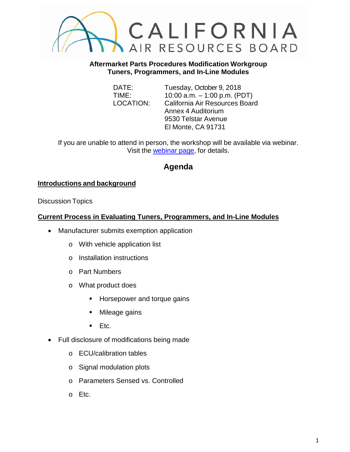

**Aftermarket Parts Procedures Modification Workgroup Tuners, Programmers, and In-Line Modules**

DATE: Tuesday, October 9, 2018 TIME: 10:00 a.m. – 1:00 p.m. (PDT) LOCATION: California Air Resources Board Annex 4 Auditorium 9530 Telstar Avenue El Monte, CA 91731

If you are unable to attend in person, the workshop will be available via webinar. Visit the [webinar page,](https://register.gotowebinar.com/register/6865389480594840066) for details.

# **Agenda**

# **Introductions and background**

Discussion Topics

#### **Current Process in Evaluating Tuners, Programmers, and In-Line Modules**

- Manufacturer submits exemption application
	- o With vehicle application list
	- o Installation instructions
	- o Part Numbers
	- o What product does
		- **Horsepower and torque gains**
		- Mileage gains
		- $E_{\text{t}}$  Etc.
- Full disclosure of modifications being made
	- o ECU/calibration tables
	- o Signal modulation plots
	- o Parameters Sensed vs. Controlled
	- o Etc.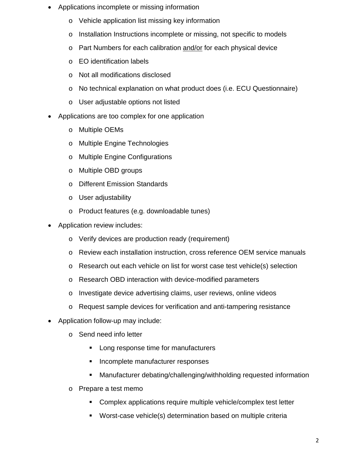- Applications incomplete or missing information
	- o Vehicle application list missing key information
	- o Installation Instructions incomplete or missing, not specific to models
	- o Part Numbers for each calibration and/or for each physical device
	- o EO identification labels
	- o Not all modifications disclosed
	- o No technical explanation on what product does (i.e. ECU Questionnaire)
	- o User adjustable options not listed
- Applications are too complex for one application
	- o Multiple OEMs
	- o Multiple Engine Technologies
	- o Multiple Engine Configurations
	- o Multiple OBD groups
	- o Different Emission Standards
	- o User adjustability
	- o Product features (e.g. downloadable tunes)
- Application review includes:
	- o Verify devices are production ready (requirement)
	- o Review each installation instruction, cross reference OEM service manuals
	- o Research out each vehicle on list for worst case test vehicle(s) selection
	- o Research OBD interaction with device-modified parameters
	- o Investigate device advertising claims, user reviews, online videos
	- o Request sample devices for verification and anti-tampering resistance
- Application follow-up may include:
	- o Send need info letter
		- **Long response time for manufacturers**
		- **Incomplete manufacturer responses**
		- Manufacturer debating/challenging/withholding requested information
	- o Prepare a test memo
		- Complex applications require multiple vehicle/complex test letter
		- Worst-case vehicle(s) determination based on multiple criteria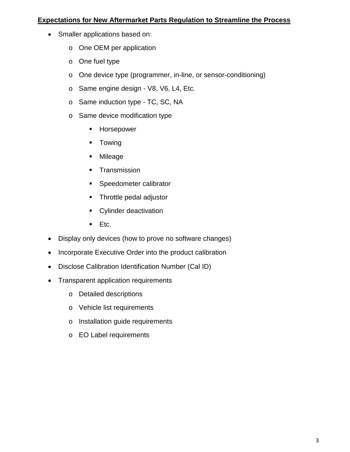#### **Expectations for New Aftermarket Parts Regulation to Streamline the Process**

- Smaller applications based on:
	- o One OEM per application
	- o One fuel type
	- o One device type (programmer, in-line, or sensor-conditioning)
	- o Same engine design V8, V6, L4, Etc.
	- o Same induction type TC, SC, NA
	- o Same device modification type
		- **Horsepower**
		- **Towing**
		- Mileage
		- **Transmission**
		- **Speedometer calibrator**
		- **Throttle pedal adjustor**
		- **Cylinder deactivation**
		- $Ectc.$
- Display only devices (how to prove no software changes)
- Incorporate Executive Order into the product calibration
- Disclose Calibration Identification Number (Cal ID)
- Transparent application requirements
	- o Detailed descriptions
	- o Vehicle list requirements
	- o Installation guide requirements
	- o EO Label requirements